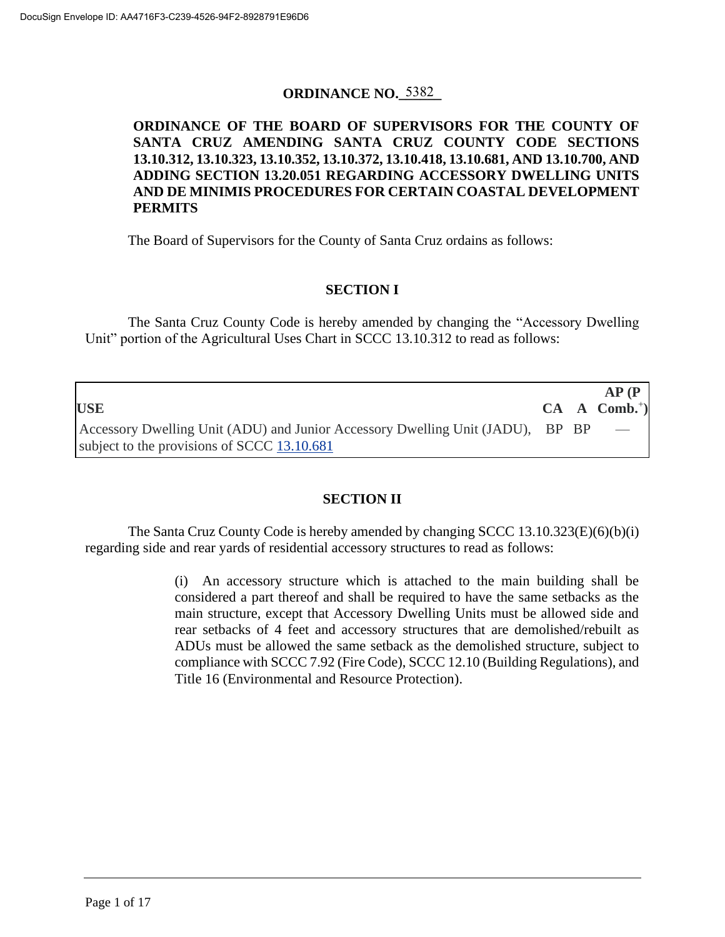## **ORDINANCE NO. 5382**

## **ORDINANCE OF THE BOARD OF SUPERVISORS FOR THE COUNTY OF SANTA CRUZ AMENDING SANTA CRUZ COUNTY CODE SECTIONS 13.10.312, 13.10.323, 13.10.352, 13.10.372, 13.10.418, 13.10.681, AND 13.10.700, AND ADDING SECTION 13.20.051 REGARDING ACCESSORY DWELLING UNITS AND DE MINIMIS PROCEDURES FOR CERTAIN COASTAL DEVELOPMENT PERMITS**

The Board of Supervisors for the County of Santa Cruz ordains as follows:

# **SECTION I**

The Santa Cruz County Code is hereby amended by changing the "Accessory Dwelling Unit" portion of the Agricultural Uses Chart in SCCC 13.10.312 to read as follows:

|                                                                                        |  | AP(P)                      |
|----------------------------------------------------------------------------------------|--|----------------------------|
| <b>USE</b>                                                                             |  | $CA \quad A \quad Comb.+)$ |
| Accessory Dwelling Unit (ADU) and Junior Accessory Dwelling Unit (JADU), $BP$ $BP$ $-$ |  |                            |
| subject to the provisions of SCCC 13.10.681                                            |  |                            |

# **SECTION II**

The Santa Cruz County Code is hereby amended by changing SCCC 13.10.323(E)(6)(b)(i) regarding side and rear yards of residential accessory structures to read as follows:

> (i) An accessory structure which is attached to the main building shall be considered a part thereof and shall be required to have the same setbacks as the main structure, except that Accessory Dwelling Units must be allowed side and rear setbacks of 4 feet and accessory structures that are demolished/rebuilt as ADUs must be allowed the same setback as the demolished structure, subject to compliance with SCCC 7.92 (Fire Code), SCCC 12.10 (Building Regulations), and Title 16 (Environmental and Resource Protection).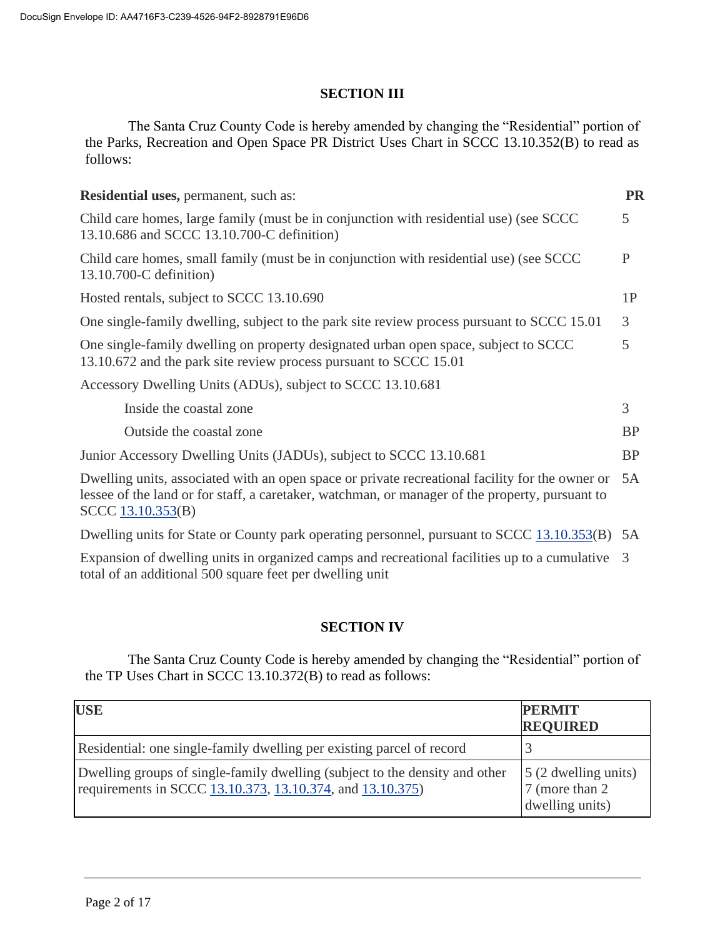### **SECTION III**

The Santa Cruz County Code is hereby amended by changing the "Residential" portion of the Parks, Recreation and Open Space PR District Uses Chart in SCCC 13.10.352(B) to read as follows:

| <b>Residential uses, permanent, such as:</b>                                                                                                                                                                                | PR           |
|-----------------------------------------------------------------------------------------------------------------------------------------------------------------------------------------------------------------------------|--------------|
| Child care homes, large family (must be in conjunction with residential use) (see SCCC)<br>13.10.686 and SCCC 13.10.700-C definition)                                                                                       | 5            |
| Child care homes, small family (must be in conjunction with residential use) (see SCCC)<br>13.10.700-C definition)                                                                                                          | $\mathbf{P}$ |
| Hosted rentals, subject to SCCC 13.10.690                                                                                                                                                                                   | 1P           |
| One single-family dwelling, subject to the park site review process pursuant to SCCC 15.01                                                                                                                                  | 3            |
| One single-family dwelling on property designated urban open space, subject to SCCC<br>13.10.672 and the park site review process pursuant to SCCC 15.01                                                                    | 5            |
| Accessory Dwelling Units (ADUs), subject to SCCC 13.10.681                                                                                                                                                                  |              |
| Inside the coastal zone                                                                                                                                                                                                     | 3            |
| Outside the coastal zone                                                                                                                                                                                                    | <b>BP</b>    |
| Junior Accessory Dwelling Units (JADUs), subject to SCCC 13.10.681                                                                                                                                                          | <b>BP</b>    |
| Dwelling units, associated with an open space or private recreational facility for the owner or<br>lessee of the land or for staff, a caretaker, watchman, or manager of the property, pursuant to<br>$SCCC$ $13.10.353(B)$ | 5A           |
| Dwelling units for State or County park operating personnel, pursuant to SCCC 13.10.353(B)                                                                                                                                  | 5A           |

Expansion of dwelling units in organized camps and recreational facilities up to a cumulative 3 total of an additional 500 square feet per dwelling unit

## **SECTION IV**

The Santa Cruz County Code is hereby amended by changing the "Residential" portion of the TP Uses Chart in SCCC 13.10.372(B) to read as follows:

| <b>USE</b>                                                                                                                               | <b>PERMIT</b><br><b>REQUIRED</b>                                   |
|------------------------------------------------------------------------------------------------------------------------------------------|--------------------------------------------------------------------|
| Residential: one single-family dwelling per existing parcel of record                                                                    |                                                                    |
| Dwelling groups of single-family dwelling (subject to the density and other<br>requirements in SCCC 13.10.373, 13.10.374, and 13.10.375) | $\vert$ 5 (2 dwelling units)<br>7 (more than 2)<br>dwelling units) |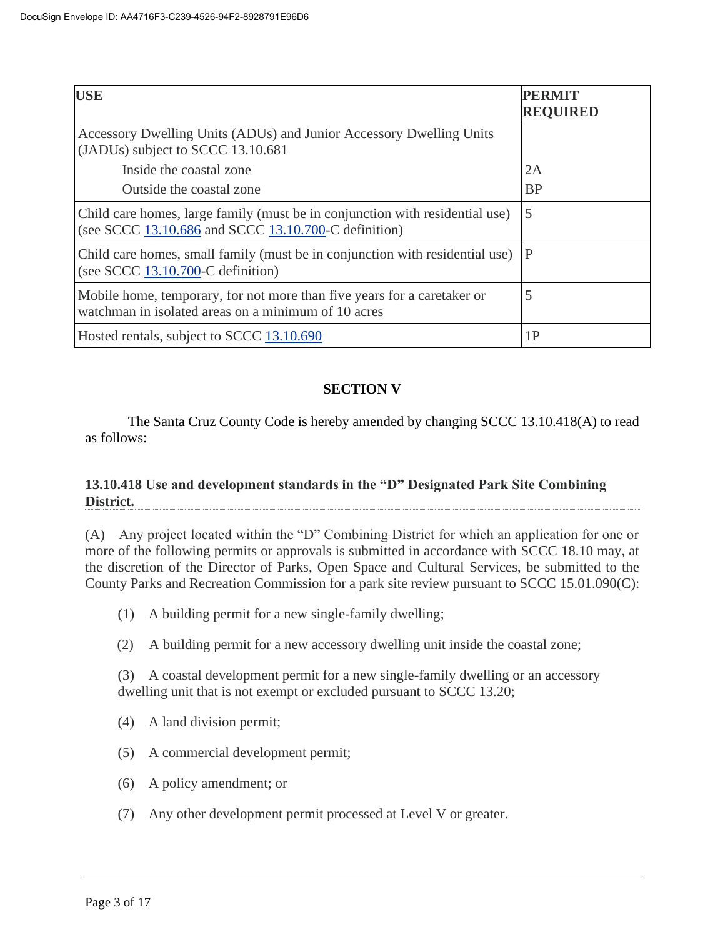| <b>USE</b>                                                                                                                           | PERMIT<br><b>REQUIRED</b> |
|--------------------------------------------------------------------------------------------------------------------------------------|---------------------------|
| Accessory Dwelling Units (ADUs) and Junior Accessory Dwelling Units<br>(JADUs) subject to SCCC 13.10.681                             |                           |
| Inside the coastal zone                                                                                                              | 2A                        |
| Outside the coastal zone                                                                                                             | <b>BP</b>                 |
| Child care homes, large family (must be in conjunction with residential use)<br>(see SCCC 13.10.686 and SCCC 13.10.700-C definition) | 5                         |
| Child care homes, small family (must be in conjunction with residential use)<br>(see SCCC $13.10.700$ -C definition)                 | P                         |
| Mobile home, temporary, for not more than five years for a caretaker or<br>watchman in isolated areas on a minimum of 10 acres       | 5                         |
| Hosted rentals, subject to SCCC 13.10.690                                                                                            | 1P                        |

## **SECTION V**

The Santa Cruz County Code is hereby amended by changing SCCC 13.10.418(A) to read as follows:

### **13.10.418 Use and development standards in the "D" Designated Park Site Combining District.**

(A) Any project located within the "D" Combining District for which an application for one or more of the following permits or approvals is submitted in accordance with SCCC 18.10 may, at the discretion of the Director of Parks, Open Space and Cultural Services, be submitted to the County Parks and Recreation Commission for a park site review pursuant to SCCC 15.01.090(C):

- (1) A building permit for a new single-family dwelling;
- (2) A building permit for a new accessory dwelling unit inside the coastal zone;

(3) A coastal development permit for a new single-family dwelling or an accessory dwelling unit that is not exempt or excluded pursuant to SCCC 13.20;

- (4) A land division permit;
- (5) A commercial development permit;
- (6) A policy amendment; or
- (7) Any other development permit processed at Level V or greater.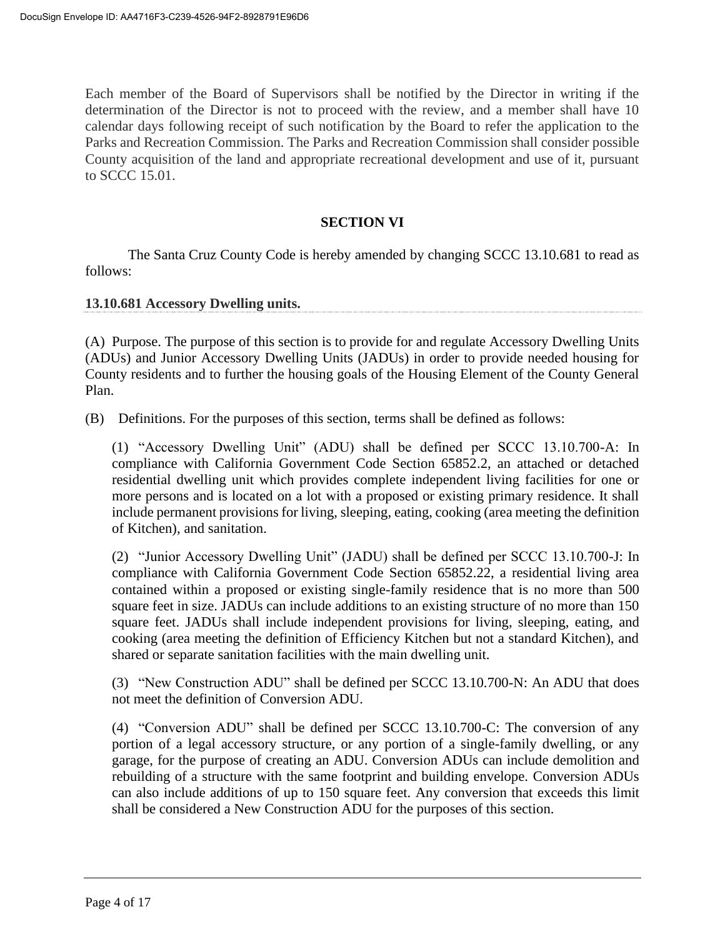Each member of the Board of Supervisors shall be notified by the Director in writing if the determination of the Director is not to proceed with the review, and a member shall have 10 calendar days following receipt of such notification by the Board to refer the application to the Parks and Recreation Commission. The Parks and Recreation Commission shall consider possible County acquisition of the land and appropriate recreational development and use of it, pursuant to SCCC 15.01.

### **SECTION VI**

The Santa Cruz County Code is hereby amended by changing SCCC 13.10.681 to read as follows:

#### **13.10.681 Accessory Dwelling units.**

(A) Purpose. The purpose of this section is to provide for and regulate Accessory Dwelling Units (ADUs) and Junior Accessory Dwelling Units (JADUs) in order to provide needed housing for County residents and to further the housing goals of the Housing Element of the County General Plan.

(B) Definitions. For the purposes of this section, terms shall be defined as follows:

(1) "Accessory Dwelling Unit" (ADU) shall be defined per SCCC 13.10.700-A: In compliance with California Government Code Section 65852.2, an attached or detached residential dwelling unit which provides complete independent living facilities for one or more persons and is located on a lot with a proposed or existing primary residence. It shall include permanent provisions for living, sleeping, eating, cooking (area meeting the definition of Kitchen), and sanitation.

(2) "Junior Accessory Dwelling Unit" (JADU) shall be defined per SCCC 13.10.700-J: In compliance with California Government Code Section 65852.22, a residential living area contained within a proposed or existing single-family residence that is no more than 500 square feet in size. JADUs can include additions to an existing structure of no more than 150 square feet. JADUs shall include independent provisions for living, sleeping, eating, and cooking (area meeting the definition of Efficiency Kitchen but not a standard Kitchen), and shared or separate sanitation facilities with the main dwelling unit.

(3) "New Construction ADU" shall be defined per SCCC 13.10.700-N: An ADU that does not meet the definition of Conversion ADU.

(4) "Conversion ADU" shall be defined per SCCC 13.10.700-C: The conversion of any portion of a legal accessory structure, or any portion of a single-family dwelling, or any garage, for the purpose of creating an ADU. Conversion ADUs can include demolition and rebuilding of a structure with the same footprint and building envelope. Conversion ADUs can also include additions of up to 150 square feet. Any conversion that exceeds this limit shall be considered a New Construction ADU for the purposes of this section.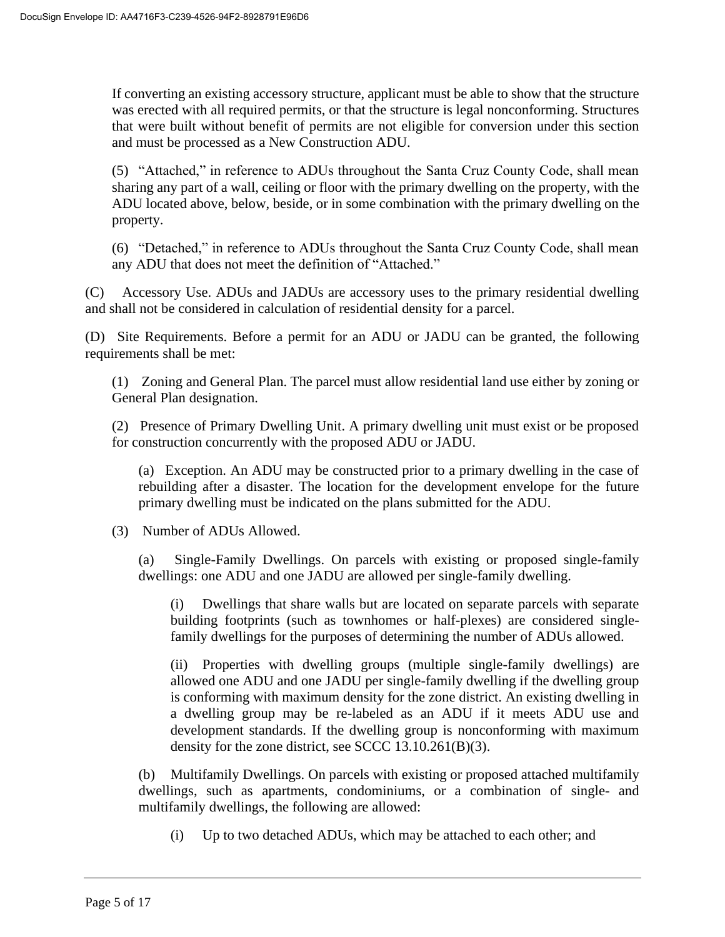If converting an existing accessory structure, applicant must be able to show that the structure was erected with all required permits, or that the structure is legal nonconforming. Structures that were built without benefit of permits are not eligible for conversion under this section and must be processed as a New Construction ADU.

(5) "Attached," in reference to ADUs throughout the Santa Cruz County Code, shall mean sharing any part of a wall, ceiling or floor with the primary dwelling on the property, with the ADU located above, below, beside, or in some combination with the primary dwelling on the property.

(6) "Detached," in reference to ADUs throughout the Santa Cruz County Code, shall mean any ADU that does not meet the definition of "Attached."

(C) Accessory Use. ADUs and JADUs are accessory uses to the primary residential dwelling and shall not be considered in calculation of residential density for a parcel.

(D) Site Requirements. Before a permit for an ADU or JADU can be granted, the following requirements shall be met:

(1) Zoning and General Plan. The parcel must allow residential land use either by zoning or General Plan designation.

(2) Presence of Primary Dwelling Unit. A primary dwelling unit must exist or be proposed for construction concurrently with the proposed ADU or JADU.

(a) Exception. An ADU may be constructed prior to a primary dwelling in the case of rebuilding after a disaster. The location for the development envelope for the future primary dwelling must be indicated on the plans submitted for the ADU.

(3) Number of ADUs Allowed.

(a) Single-Family Dwellings. On parcels with existing or proposed single-family dwellings: one ADU and one JADU are allowed per single-family dwelling.

(i) Dwellings that share walls but are located on separate parcels with separate building footprints (such as townhomes or half-plexes) are considered singlefamily dwellings for the purposes of determining the number of ADUs allowed.

(ii) Properties with dwelling groups (multiple single-family dwellings) are allowed one ADU and one JADU per single-family dwelling if the dwelling group is conforming with maximum density for the zone district. An existing dwelling in a dwelling group may be re-labeled as an ADU if it meets ADU use and development standards. If the dwelling group is nonconforming with maximum density for the zone district, see SCCC 13.10.261(B)(3).

(b) Multifamily Dwellings. On parcels with existing or proposed attached multifamily dwellings, such as apartments, condominiums, or a combination of single- and multifamily dwellings, the following are allowed:

(i) Up to two detached ADUs, which may be attached to each other; and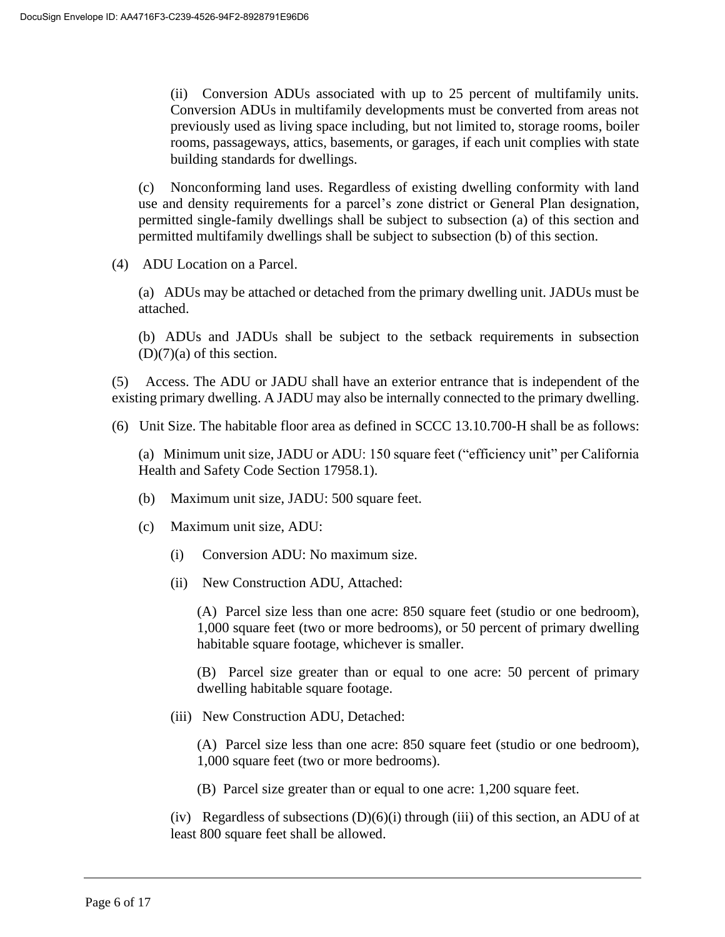(ii) Conversion ADUs associated with up to 25 percent of multifamily units. Conversion ADUs in multifamily developments must be converted from areas not previously used as living space including, but not limited to, storage rooms, boiler rooms, passageways, attics, basements, or garages, if each unit complies with state building standards for dwellings.

(c) Nonconforming land uses. Regardless of existing dwelling conformity with land use and density requirements for a parcel's zone district or General Plan designation, permitted single-family dwellings shall be subject to subsection (a) of this section and permitted multifamily dwellings shall be subject to subsection (b) of this section.

(4) ADU Location on a Parcel.

(a) ADUs may be attached or detached from the primary dwelling unit. JADUs must be attached.

(b) ADUs and JADUs shall be subject to the setback requirements in subsection  $(D)(7)(a)$  of this section.

(5) Access. The ADU or JADU shall have an exterior entrance that is independent of the existing primary dwelling. A JADU may also be internally connected to the primary dwelling.

(6) Unit Size. The habitable floor area as defined in SCCC 13.10.700-H shall be as follows:

(a) Minimum unit size, JADU or ADU: 150 square feet ("efficiency unit" per California Health and Safety Code Section 17958.1).

- (b) Maximum unit size, JADU: 500 square feet.
- (c) Maximum unit size, ADU:
	- (i) Conversion ADU: No maximum size.
	- (ii) New Construction ADU, Attached:

(A) Parcel size less than one acre: 850 square feet (studio or one bedroom), 1,000 square feet (two or more bedrooms), or 50 percent of primary dwelling habitable square footage, whichever is smaller.

(B) Parcel size greater than or equal to one acre: 50 percent of primary dwelling habitable square footage.

(iii) New Construction ADU, Detached:

(A) Parcel size less than one acre: 850 square feet (studio or one bedroom), 1,000 square feet (two or more bedrooms).

(B) Parcel size greater than or equal to one acre: 1,200 square feet.

(iv) Regardless of subsections  $(D)(6)(i)$  through (iii) of this section, an ADU of at least 800 square feet shall be allowed.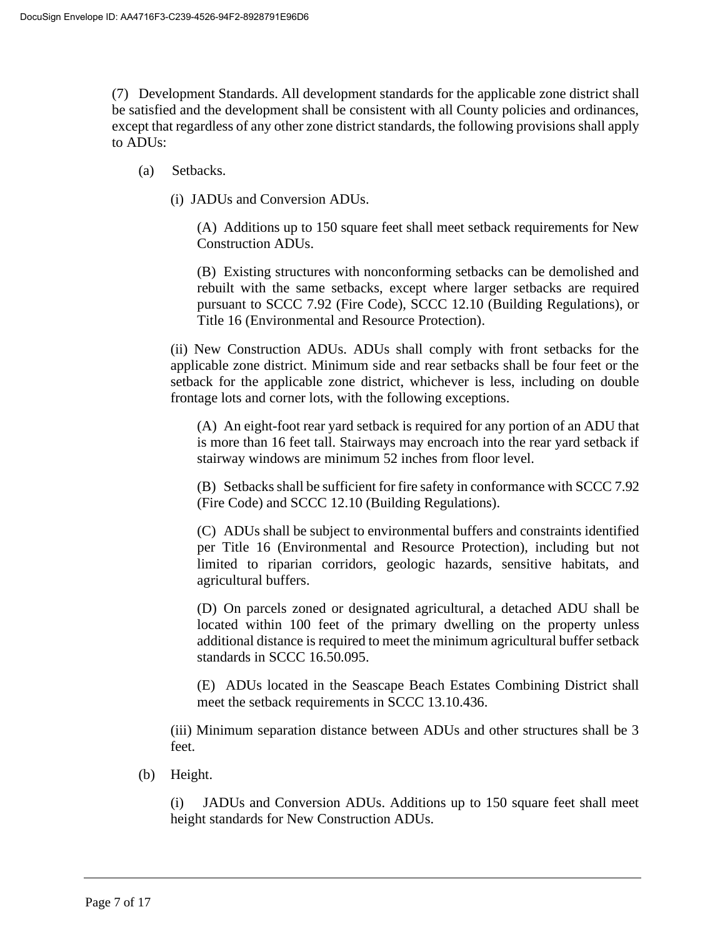(7) Development Standards. All development standards for the applicable zone district shall be satisfied and the development shall be consistent with all County policies and ordinances, except that regardless of any other zone district standards, the following provisions shall apply to ADUs:

- (a) Setbacks.
	- (i) JADUs and Conversion ADUs.

(A) Additions up to 150 square feet shall meet setback requirements for New Construction ADUs.

(B) Existing structures with nonconforming setbacks can be demolished and rebuilt with the same setbacks, except where larger setbacks are required pursuant to SCCC 7.92 (Fire Code), SCCC 12.10 (Building Regulations), or Title 16 (Environmental and Resource Protection).

(ii) New Construction ADUs. ADUs shall comply with front setbacks for the applicable zone district. Minimum side and rear setbacks shall be four feet or the setback for the applicable zone district, whichever is less, including on double frontage lots and corner lots, with the following exceptions.

(A) An eight-foot rear yard setback is required for any portion of an ADU that is more than 16 feet tall. Stairways may encroach into the rear yard setback if stairway windows are minimum 52 inches from floor level.

(B) Setbacks shall be sufficient for fire safety in conformance with SCCC 7.92 (Fire Code) and SCCC 12.10 (Building Regulations).

(C) ADUs shall be subject to environmental buffers and constraints identified per Title 16 (Environmental and Resource Protection), including but not limited to riparian corridors, geologic hazards, sensitive habitats, and agricultural buffers.

(D) On parcels zoned or designated agricultural, a detached ADU shall be located within 100 feet of the primary dwelling on the property unless additional distance is required to meet the minimum agricultural buffer setback standards in SCCC 16.50.095.

(E) ADUs located in the Seascape Beach Estates Combining District shall meet the setback requirements in SCCC 13.10.436.

(iii) Minimum separation distance between ADUs and other structures shall be 3 feet.

(b) Height.

(i) JADUs and Conversion ADUs. Additions up to 150 square feet shall meet height standards for New Construction ADUs.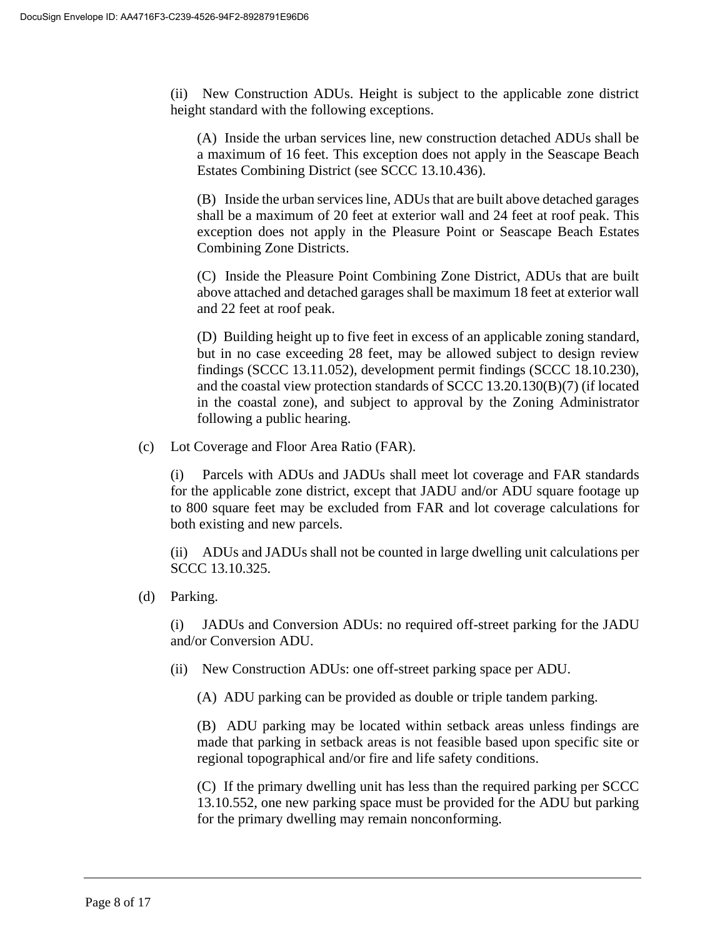(ii) New Construction ADUs. Height is subject to the applicable zone district height standard with the following exceptions.

(A) Inside the urban services line, new construction detached ADUs shall be a maximum of 16 feet. This exception does not apply in the Seascape Beach Estates Combining District (see SCCC 13.10.436).

(B) Inside the urban services line, ADUs that are built above detached garages shall be a maximum of 20 feet at exterior wall and 24 feet at roof peak. This exception does not apply in the Pleasure Point or Seascape Beach Estates Combining Zone Districts.

(C) Inside the Pleasure Point Combining Zone District, ADUs that are built above attached and detached garages shall be maximum 18 feet at exterior wall and 22 feet at roof peak.

(D) Building height up to five feet in excess of an applicable zoning standard, but in no case exceeding 28 feet, may be allowed subject to design review findings (SCCC 13.11.052), development permit findings (SCCC 18.10.230), and the coastal view protection standards of SCCC 13.20.130(B)(7) (if located in the coastal zone), and subject to approval by the Zoning Administrator following a public hearing.

(c) Lot Coverage and Floor Area Ratio (FAR).

(i) Parcels with ADUs and JADUs shall meet lot coverage and FAR standards for the applicable zone district, except that JADU and/or ADU square footage up to 800 square feet may be excluded from FAR and lot coverage calculations for both existing and new parcels.

(ii) ADUs and JADUs shall not be counted in large dwelling unit calculations per SCCC 13.10.325.

(d) Parking.

(i) JADUs and Conversion ADUs: no required off-street parking for the JADU and/or Conversion ADU.

(ii) New Construction ADUs: one off-street parking space per ADU.

(A) ADU parking can be provided as double or triple tandem parking.

(B) ADU parking may be located within setback areas unless findings are made that parking in setback areas is not feasible based upon specific site or regional topographical and/or fire and life safety conditions.

(C) If the primary dwelling unit has less than the required parking per SCCC 13.10.552, one new parking space must be provided for the ADU but parking for the primary dwelling may remain nonconforming.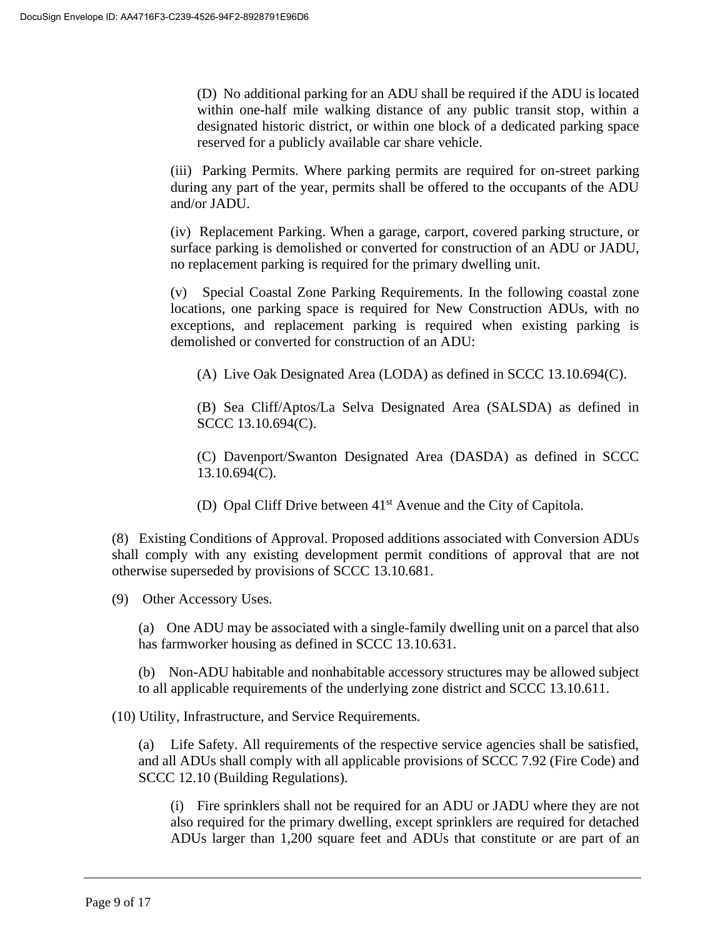(D) No additional parking for an ADU shall be required if the ADU is located within one-half mile walking distance of any public transit stop, within a designated historic district, or within one block of a dedicated parking space reserved for a publicly available car share vehicle.

(iii) Parking Permits. Where parking permits are required for on-street parking during any part of the year, permits shall be offered to the occupants of the ADU and/or JADU.

(iv) Replacement Parking. When a garage, carport, covered parking structure, or surface parking is demolished or converted for construction of an ADU or JADU, no replacement parking is required for the primary dwelling unit.

(v) Special Coastal Zone Parking Requirements. In the following coastal zone locations, one parking space is required for New Construction ADUs, with no exceptions, and replacement parking is required when existing parking is demolished or converted for construction of an ADU:

(A) Live Oak Designated Area (LODA) as defined in SCCC 13.10.694(C).

(B) Sea Cliff/Aptos/La Selva Designated Area (SALSDA) as defined in SCCC 13.10.694(C).

(C) Davenport/Swanton Designated Area (DASDA) as defined in SCCC 13.10.694(C).

(D) Opal Cliff Drive between 41<sup>st</sup> Avenue and the City of Capitola.

(8) Existing Conditions of Approval. Proposed additions associated with Conversion ADUs shall comply with any existing development permit conditions of approval that are not otherwise superseded by provisions of SCCC 13.10.681.

(9) Other Accessory Uses.

(a) One ADU may be associated with a single-family dwelling unit on a parcel that also has farmworker housing as defined in SCCC 13.10.631.

(b) Non-ADU habitable and nonhabitable accessory structures may be allowed subject to all applicable requirements of the underlying zone district and SCCC 13.10.611.

(10) Utility, Infrastructure, and Service Requirements.

(a) Life Safety. All requirements of the respective service agencies shall be satisfied, and all ADUs shall comply with all applicable provisions of SCCC 7.92 (Fire Code) and SCCC 12.10 (Building Regulations).

(i) Fire sprinklers shall not be required for an ADU or JADU where they are not also required for the primary dwelling, except sprinklers are required for detached ADUs larger than 1,200 square feet and ADUs that constitute or are part of an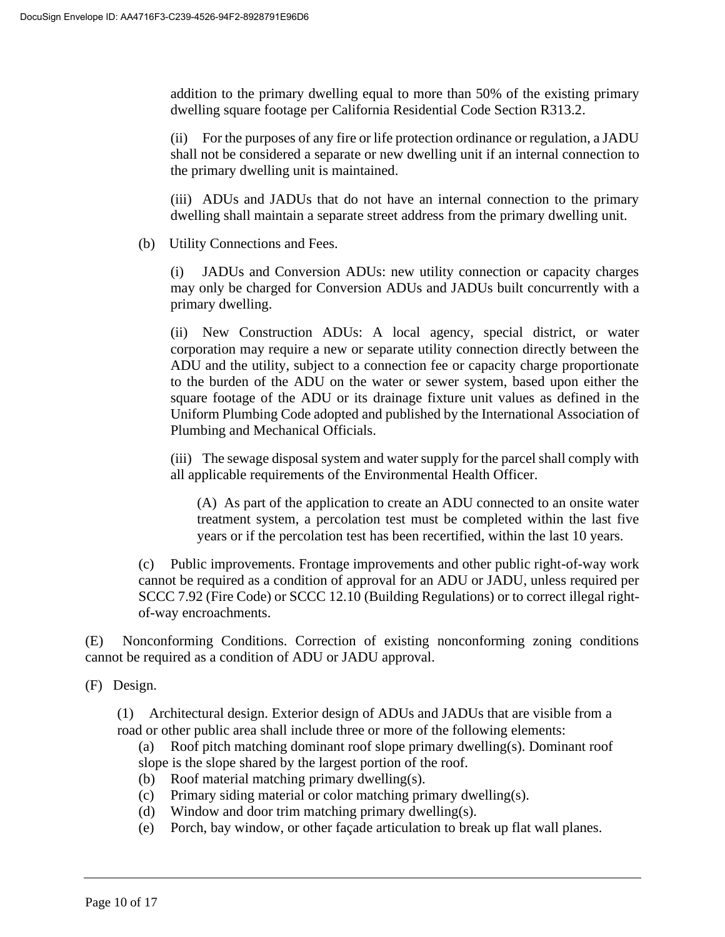addition to the primary dwelling equal to more than 50% of the existing primary dwelling square footage per California Residential Code Section R313.2.

(ii) For the purposes of any fire or life protection ordinance or regulation, a JADU shall not be considered a separate or new dwelling unit if an internal connection to the primary dwelling unit is maintained.

(iii) ADUs and JADUs that do not have an internal connection to the primary dwelling shall maintain a separate street address from the primary dwelling unit.

(b) Utility Connections and Fees.

JADUs and Conversion ADUs: new utility connection or capacity charges may only be charged for Conversion ADUs and JADUs built concurrently with a primary dwelling.

(ii) New Construction ADUs: A local agency, special district, or water corporation may require a new or separate utility connection directly between the ADU and the utility, subject to a connection fee or capacity charge proportionate to the burden of the ADU on the water or sewer system, based upon either the square footage of the ADU or its drainage fixture unit values as defined in the Uniform Plumbing Code adopted and published by the International Association of Plumbing and Mechanical Officials.

(iii) The sewage disposal system and water supply for the parcel shall comply with all applicable requirements of the Environmental Health Officer.

(A) As part of the application to create an ADU connected to an onsite water treatment system, a percolation test must be completed within the last five years or if the percolation test has been recertified, within the last 10 years.

(c) Public improvements. Frontage improvements and other public right-of-way work cannot be required as a condition of approval for an ADU or JADU, unless required per SCCC 7.92 (Fire Code) or SCCC 12.10 (Building Regulations) or to correct illegal rightof-way encroachments.

(E) Nonconforming Conditions. Correction of existing nonconforming zoning conditions cannot be required as a condition of ADU or JADU approval.

(F) Design.

(1) Architectural design. Exterior design of ADUs and JADUs that are visible from a road or other public area shall include three or more of the following elements:

(a) Roof pitch matching dominant roof slope primary dwelling(s). Dominant roof slope is the slope shared by the largest portion of the roof.

- (b) Roof material matching primary dwelling(s).
- (c) Primary siding material or color matching primary dwelling(s).
- (d) Window and door trim matching primary dwelling(s).
- (e) Porch, bay window, or other façade articulation to break up flat wall planes.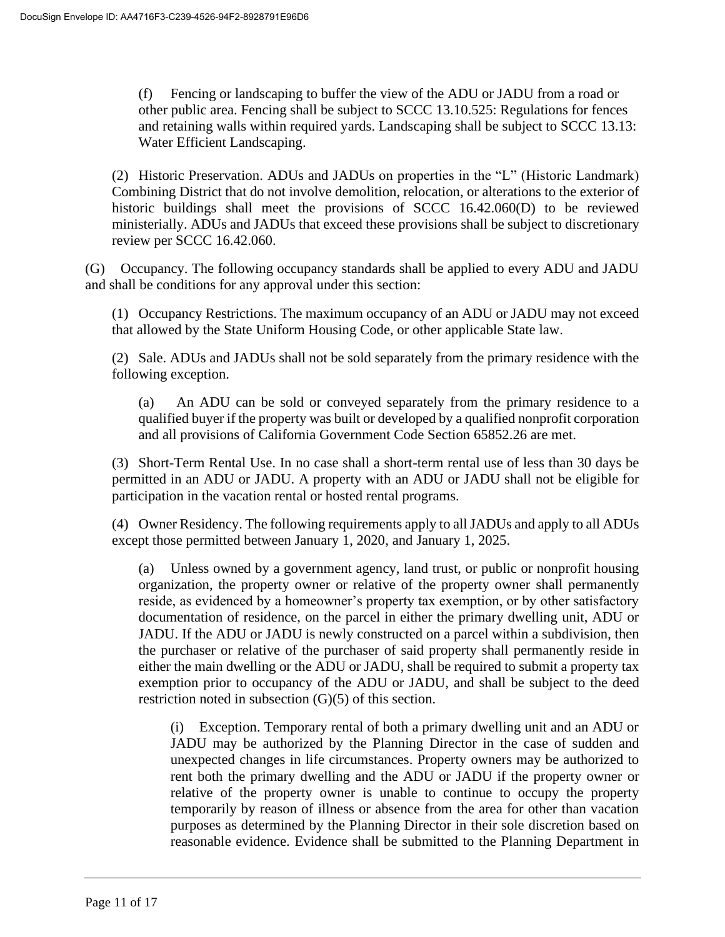(f) Fencing or landscaping to buffer the view of the ADU or JADU from a road or other public area. Fencing shall be subject to SCCC 13.10.525: Regulations for fences and retaining walls within required yards. Landscaping shall be subject to SCCC 13.13: Water Efficient Landscaping.

(2) Historic Preservation. ADUs and JADUs on properties in the "L" (Historic Landmark) Combining District that do not involve demolition, relocation, or alterations to the exterior of historic buildings shall meet the provisions of SCCC 16.42.060(D) to be reviewed ministerially. ADUs and JADUs that exceed these provisions shall be subject to discretionary review per SCCC 16.42.060.

(G) Occupancy. The following occupancy standards shall be applied to every ADU and JADU and shall be conditions for any approval under this section:

(1) Occupancy Restrictions. The maximum occupancy of an ADU or JADU may not exceed that allowed by the State Uniform Housing Code, or other applicable State law.

(2) Sale. ADUs and JADUs shall not be sold separately from the primary residence with the following exception.

(a) An ADU can be sold or conveyed separately from the primary residence to a qualified buyer if the property was built or developed by a qualified nonprofit corporation and all provisions of California Government Code Section 65852.26 are met.

(3) Short-Term Rental Use. In no case shall a short-term rental use of less than 30 days be permitted in an ADU or JADU. A property with an ADU or JADU shall not be eligible for participation in the vacation rental or hosted rental programs.

(4) Owner Residency. The following requirements apply to all JADUs and apply to all ADUs except those permitted between January 1, 2020, and January 1, 2025.

(a) Unless owned by a government agency, land trust, or public or nonprofit housing organization, the property owner or relative of the property owner shall permanently reside, as evidenced by a homeowner's property tax exemption, or by other satisfactory documentation of residence, on the parcel in either the primary dwelling unit, ADU or JADU. If the ADU or JADU is newly constructed on a parcel within a subdivision, then the purchaser or relative of the purchaser of said property shall permanently reside in either the main dwelling or the ADU or JADU, shall be required to submit a property tax exemption prior to occupancy of the ADU or JADU, and shall be subject to the deed restriction noted in subsection (G)(5) of this section.

(i) Exception. Temporary rental of both a primary dwelling unit and an ADU or JADU may be authorized by the Planning Director in the case of sudden and unexpected changes in life circumstances. Property owners may be authorized to rent both the primary dwelling and the ADU or JADU if the property owner or relative of the property owner is unable to continue to occupy the property temporarily by reason of illness or absence from the area for other than vacation purposes as determined by the Planning Director in their sole discretion based on reasonable evidence. Evidence shall be submitted to the Planning Department in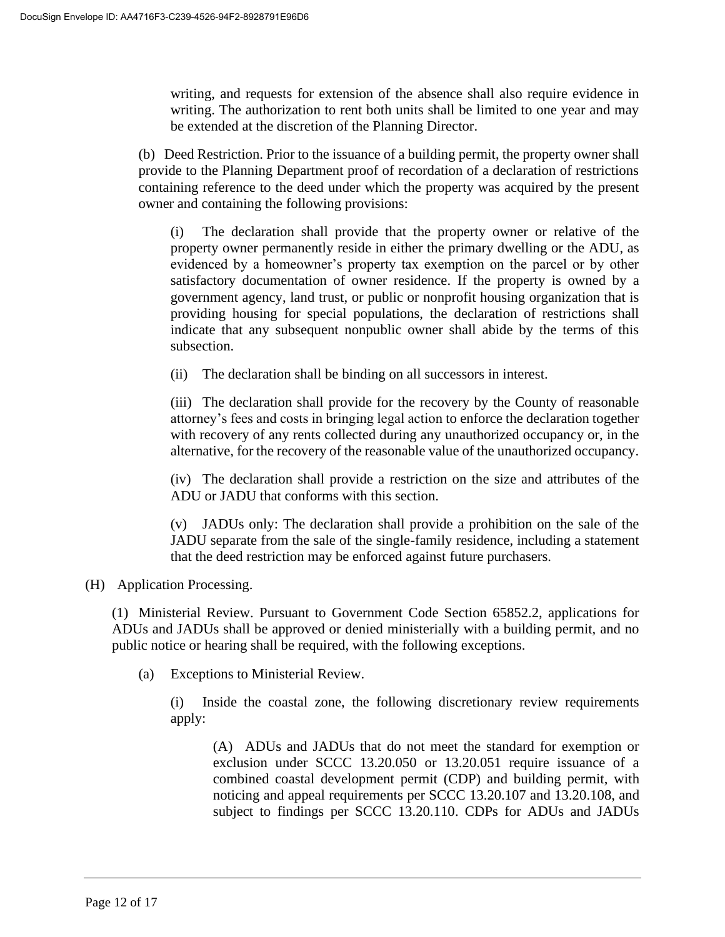writing, and requests for extension of the absence shall also require evidence in writing. The authorization to rent both units shall be limited to one year and may be extended at the discretion of the Planning Director.

(b) Deed Restriction. Prior to the issuance of a building permit, the property owner shall provide to the Planning Department proof of recordation of a declaration of restrictions containing reference to the deed under which the property was acquired by the present owner and containing the following provisions:

(i) The declaration shall provide that the property owner or relative of the property owner permanently reside in either the primary dwelling or the ADU, as evidenced by a homeowner's property tax exemption on the parcel or by other satisfactory documentation of owner residence. If the property is owned by a government agency, land trust, or public or nonprofit housing organization that is providing housing for special populations, the declaration of restrictions shall indicate that any subsequent nonpublic owner shall abide by the terms of this subsection.

(ii) The declaration shall be binding on all successors in interest.

(iii) The declaration shall provide for the recovery by the County of reasonable attorney's fees and costs in bringing legal action to enforce the declaration together with recovery of any rents collected during any unauthorized occupancy or, in the alternative, for the recovery of the reasonable value of the unauthorized occupancy.

(iv) The declaration shall provide a restriction on the size and attributes of the ADU or JADU that conforms with this section.

(v) JADUs only: The declaration shall provide a prohibition on the sale of the JADU separate from the sale of the single-family residence, including a statement that the deed restriction may be enforced against future purchasers.

#### (H) Application Processing.

(1) Ministerial Review. Pursuant to Government Code Section 65852.2, applications for ADUs and JADUs shall be approved or denied ministerially with a building permit, and no public notice or hearing shall be required, with the following exceptions.

(a) Exceptions to Ministerial Review.

(i) Inside the coastal zone, the following discretionary review requirements apply:

(A) ADUs and JADUs that do not meet the standard for exemption or exclusion under SCCC 13.20.050 or 13.20.051 require issuance of a combined coastal development permit (CDP) and building permit, with noticing and appeal requirements per SCCC 13.20.107 and 13.20.108, and subject to findings per SCCC 13.20.110. CDPs for ADUs and JADUs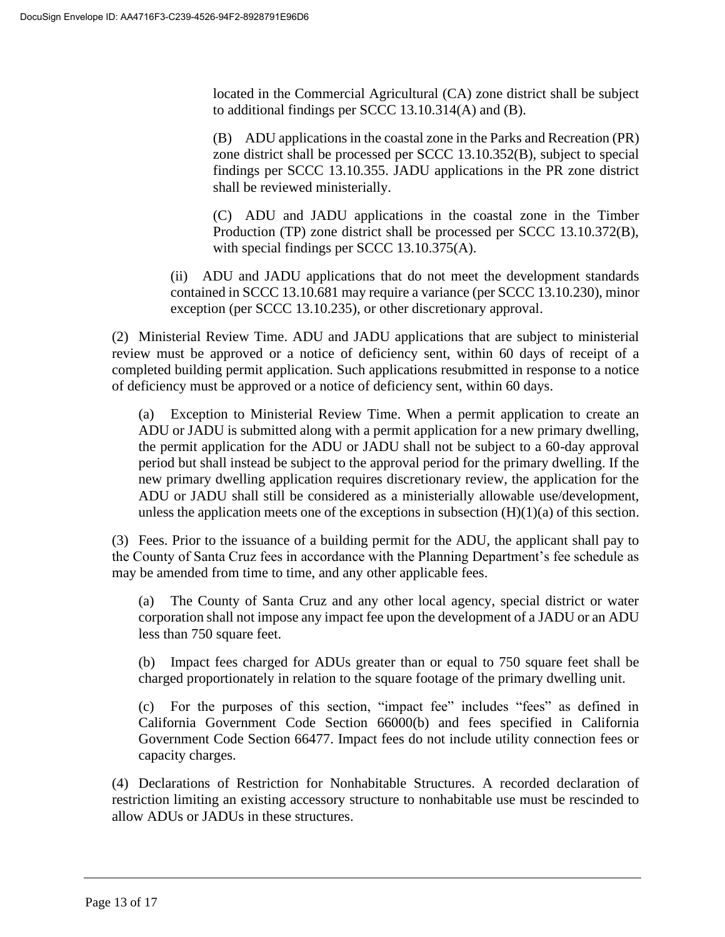located in the Commercial Agricultural (CA) zone district shall be subject to additional findings per SCCC 13.10.314(A) and (B).

(B) ADU applications in the coastal zone in the Parks and Recreation (PR) zone district shall be processed per SCCC 13.10.352(B), subject to special findings per SCCC 13.10.355. JADU applications in the PR zone district shall be reviewed ministerially.

(C) ADU and JADU applications in the coastal zone in the Timber Production (TP) zone district shall be processed per SCCC 13.10.372(B), with special findings per SCCC 13.10.375(A).

(ii) ADU and JADU applications that do not meet the development standards contained in SCCC 13.10.681 may require a variance (per SCCC 13.10.230), minor exception (per SCCC 13.10.235), or other discretionary approval.

(2) Ministerial Review Time. ADU and JADU applications that are subject to ministerial review must be approved or a notice of deficiency sent, within 60 days of receipt of a completed building permit application. Such applications resubmitted in response to a notice of deficiency must be approved or a notice of deficiency sent, within 60 days.

(a) Exception to Ministerial Review Time. When a permit application to create an ADU or JADU is submitted along with a permit application for a new primary dwelling, the permit application for the ADU or JADU shall not be subject to a 60-day approval period but shall instead be subject to the approval period for the primary dwelling. If the new primary dwelling application requires discretionary review, the application for the ADU or JADU shall still be considered as a ministerially allowable use/development, unless the application meets one of the exceptions in subsection  $(H)(1)(a)$  of this section.

(3) Fees. Prior to the issuance of a building permit for the ADU, the applicant shall pay to the County of Santa Cruz fees in accordance with the Planning Department's fee schedule as may be amended from time to time, and any other applicable fees.

(a) The County of Santa Cruz and any other local agency, special district or water corporation shall not impose any impact fee upon the development of a JADU or an ADU less than 750 square feet.

(b) Impact fees charged for ADUs greater than or equal to 750 square feet shall be charged proportionately in relation to the square footage of the primary dwelling unit.

(c) For the purposes of this section, "impact fee" includes "fees" as defined in California Government Code Section 66000(b) and fees specified in California Government Code Section 66477. Impact fees do not include utility connection fees or capacity charges.

(4) Declarations of Restriction for Nonhabitable Structures. A recorded declaration of restriction limiting an existing accessory structure to nonhabitable use must be rescinded to allow ADUs or JADUs in these structures.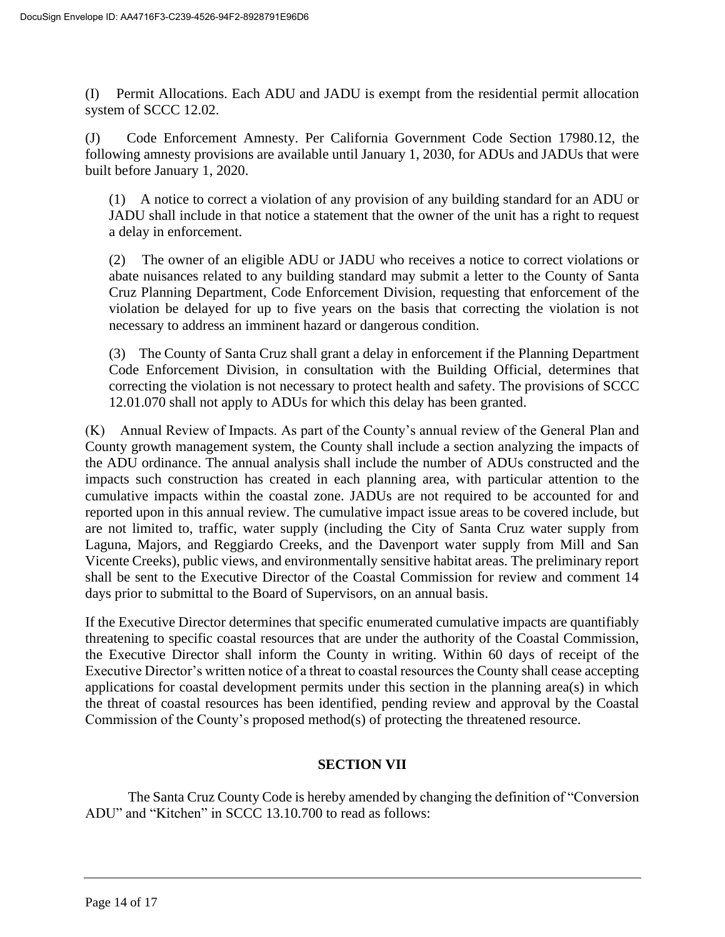(I) Permit Allocations. Each ADU and JADU is exempt from the residential permit allocation system of SCCC 12.02.

(J) Code Enforcement Amnesty. Per California Government Code Section 17980.12, the following amnesty provisions are available until January 1, 2030, for ADUs and JADUs that were built before January 1, 2020.

(1) A notice to correct a violation of any provision of any building standard for an ADU or JADU shall include in that notice a statement that the owner of the unit has a right to request a delay in enforcement.

(2) The owner of an eligible ADU or JADU who receives a notice to correct violations or abate nuisances related to any building standard may submit a letter to the County of Santa Cruz Planning Department, Code Enforcement Division, requesting that enforcement of the violation be delayed for up to five years on the basis that correcting the violation is not necessary to address an imminent hazard or dangerous condition.

(3) The County of Santa Cruz shall grant a delay in enforcement if the Planning Department Code Enforcement Division, in consultation with the Building Official, determines that correcting the violation is not necessary to protect health and safety. The provisions of SCCC 12.01.070 shall not apply to ADUs for which this delay has been granted.

(K) Annual Review of Impacts. As part of the County's annual review of the General Plan and County growth management system, the County shall include a section analyzing the impacts of the ADU ordinance. The annual analysis shall include the number of ADUs constructed and the impacts such construction has created in each planning area, with particular attention to the cumulative impacts within the coastal zone. JADUs are not required to be accounted for and reported upon in this annual review. The cumulative impact issue areas to be covered include, but are not limited to, traffic, water supply (including the City of Santa Cruz water supply from Laguna, Majors, and Reggiardo Creeks, and the Davenport water supply from Mill and San Vicente Creeks), public views, and environmentally sensitive habitat areas. The preliminary report shall be sent to the Executive Director of the Coastal Commission for review and comment 14 days prior to submittal to the Board of Supervisors, on an annual basis.

If the Executive Director determines that specific enumerated cumulative impacts are quantifiably threatening to specific coastal resources that are under the authority of the Coastal Commission, the Executive Director shall inform the County in writing. Within 60 days of receipt of the Executive Director's written notice of a threat to coastal resources the County shall cease accepting applications for coastal development permits under this section in the planning area(s) in which the threat of coastal resources has been identified, pending review and approval by the Coastal Commission of the County's proposed method(s) of protecting the threatened resource.

## **SECTION VII**

The Santa Cruz County Code is hereby amended by changing the definition of "Conversion ADU" and "Kitchen" in SCCC 13.10.700 to read as follows: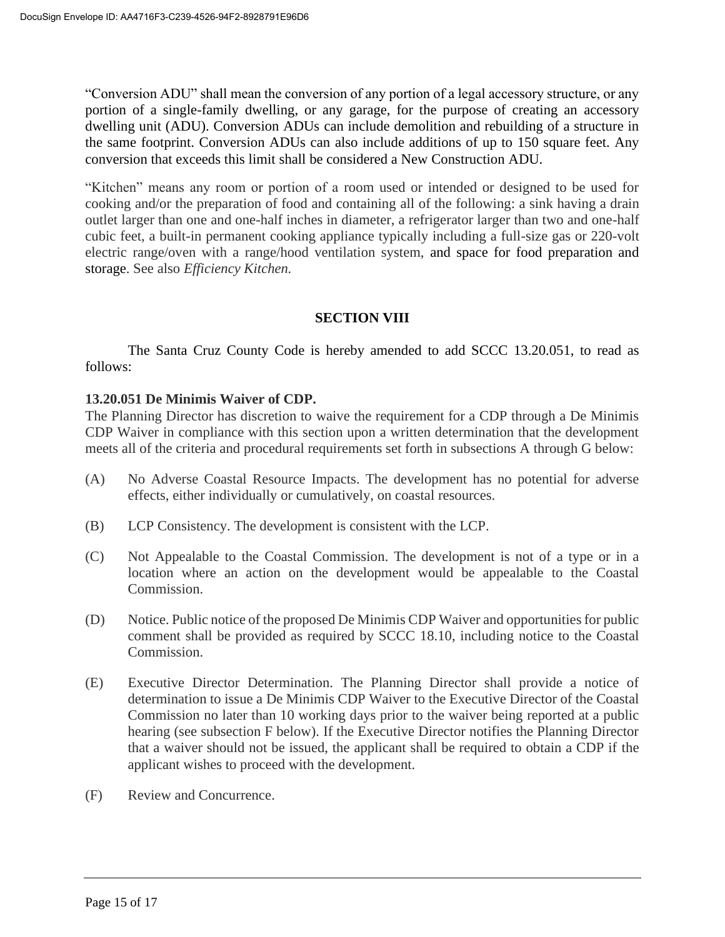"Conversion ADU" shall mean the conversion of any portion of a legal accessory structure, or any portion of a single-family dwelling, or any garage, for the purpose of creating an accessory dwelling unit (ADU). Conversion ADUs can include demolition and rebuilding of a structure in the same footprint. Conversion ADUs can also include additions of up to 150 square feet. Any conversion that exceeds this limit shall be considered a New Construction ADU.

"Kitchen" means any room or portion of a room used or intended or designed to be used for cooking and/or the preparation of food and containing all of the following: a sink having a drain outlet larger than one and one-half inches in diameter, a refrigerator larger than two and one-half cubic feet, a built-in permanent cooking appliance typically including a full-size gas or 220-volt electric range/oven with a range/hood ventilation system, and space for food preparation and storage. See also *Efficiency Kitchen.*

## **SECTION VIII**

The Santa Cruz County Code is hereby amended to add SCCC 13.20.051, to read as follows:

## **13.20.051 De Minimis Waiver of CDP.**

The Planning Director has discretion to waive the requirement for a CDP through a De Minimis CDP Waiver in compliance with this section upon a written determination that the development meets all of the criteria and procedural requirements set forth in subsections A through G below:

- (A) No Adverse Coastal Resource Impacts. The development has no potential for adverse effects, either individually or cumulatively, on coastal resources.
- (B) LCP Consistency. The development is consistent with the LCP.
- (C) Not Appealable to the Coastal Commission. The development is not of a type or in a location where an action on the development would be appealable to the Coastal Commission.
- (D) Notice. Public notice of the proposed De Minimis CDP Waiver and opportunities for public comment shall be provided as required by SCCC 18.10, including notice to the Coastal Commission.
- (E) Executive Director Determination. The Planning Director shall provide a notice of determination to issue a De Minimis CDP Waiver to the Executive Director of the Coastal Commission no later than 10 working days prior to the waiver being reported at a public hearing (see subsection F below). If the Executive Director notifies the Planning Director that a waiver should not be issued, the applicant shall be required to obtain a CDP if the applicant wishes to proceed with the development.
- (F) Review and Concurrence.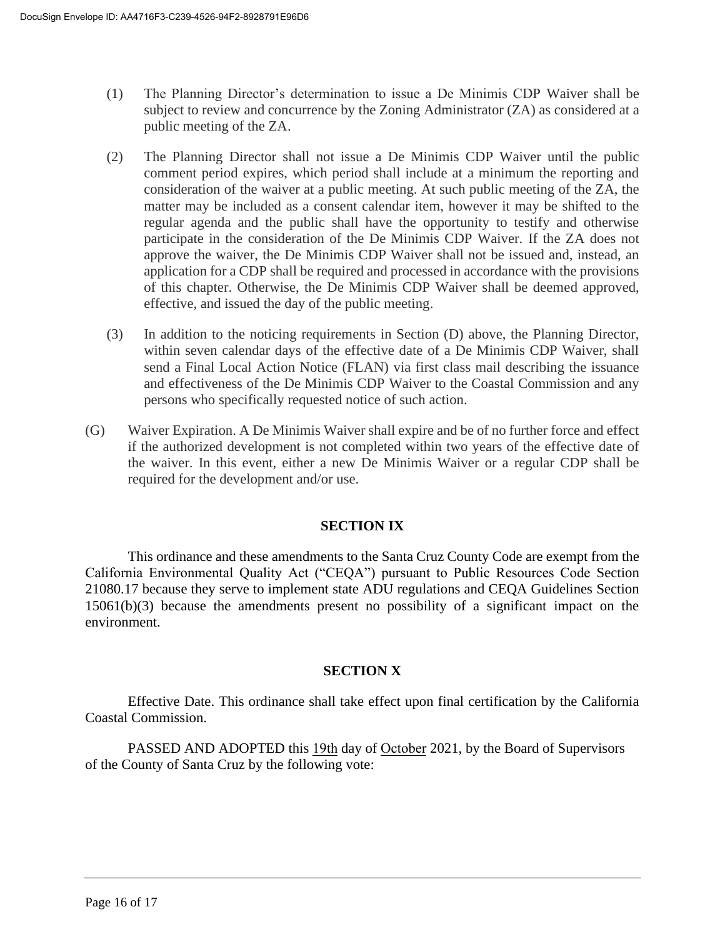- (1) The Planning Director's determination to issue a De Minimis CDP Waiver shall be subject to review and concurrence by the Zoning Administrator (ZA) as considered at a public meeting of the ZA.
- (2) The Planning Director shall not issue a De Minimis CDP Waiver until the public comment period expires, which period shall include at a minimum the reporting and consideration of the waiver at a public meeting. At such public meeting of the ZA, the matter may be included as a consent calendar item, however it may be shifted to the regular agenda and the public shall have the opportunity to testify and otherwise participate in the consideration of the De Minimis CDP Waiver. If the ZA does not approve the waiver, the De Minimis CDP Waiver shall not be issued and, instead, an application for a CDP shall be required and processed in accordance with the provisions of this chapter. Otherwise, the De Minimis CDP Waiver shall be deemed approved, effective, and issued the day of the public meeting.
- (3) In addition to the noticing requirements in Section (D) above, the Planning Director, within seven calendar days of the effective date of a De Minimis CDP Waiver, shall send a Final Local Action Notice (FLAN) via first class mail describing the issuance and effectiveness of the De Minimis CDP Waiver to the Coastal Commission and any persons who specifically requested notice of such action.
- (G) Waiver Expiration. A De Minimis Waiver shall expire and be of no further force and effect if the authorized development is not completed within two years of the effective date of the waiver. In this event, either a new De Minimis Waiver or a regular CDP shall be required for the development and/or use.

## **SECTION IX**

This ordinance and these amendments to the Santa Cruz County Code are exempt from the California Environmental Quality Act ("CEQA") pursuant to Public Resources Code Section 21080.17 because they serve to implement state ADU regulations and CEQA Guidelines Section 15061(b)(3) because the amendments present no possibility of a significant impact on the environment.

## **SECTION X**

Effective Date. This ordinance shall take effect upon final certification by the California Coastal Commission.

PASSED AND ADOPTED this 19th day of October 2021, by the Board of Supervisors of the County of Santa Cruz by the following vote: